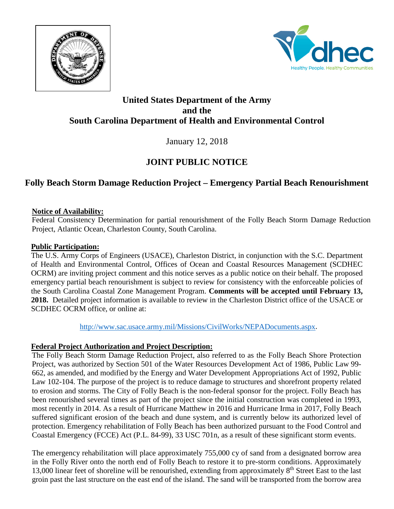



### **United States Department of the Army and the South Carolina Department of Health and Environmental Control**

January 12, 2018

# **JOINT PUBLIC NOTICE**

## **Folly Beach Storm Damage Reduction Project – Emergency Partial Beach Renourishment**

#### **Notice of Availability:**

Federal Consistency Determination for partial renourishment of the Folly Beach Storm Damage Reduction Project, Atlantic Ocean, Charleston County, South Carolina.

#### **Public Participation:**

The U.S. Army Corps of Engineers (USACE), Charleston District, in conjunction with the S.C. Department of Health and Environmental Control, Offices of Ocean and Coastal Resources Management (SCDHEC OCRM) are inviting project comment and this notice serves as a public notice on their behalf. The proposed emergency partial beach renourishment is subject to review for consistency with the enforceable policies of the South Carolina Coastal Zone Management Program. **Comments will be accepted until February 13, 2018.** Detailed project information is available to review in the Charleston District office of the USACE or SCDHEC OCRM office, or online at:

[http://www.sac.usace.army.mil/Missions/CivilWorks/NEPADocuments.aspx.](http://www.sac.usace.army.mil/Missions/CivilWorks/NEPADocuments.aspx)

#### **Federal Project Authorization and Project Description:**

The Folly Beach Storm Damage Reduction Project, also referred to as the Folly Beach Shore Protection Project, was authorized by Section 501 of the Water Resources Development Act of 1986, Public Law 99- 662, as amended, and modified by the Energy and Water Development Appropriations Act of 1992, Public Law 102-104. The purpose of the project is to reduce damage to structures and shorefront property related to erosion and storms. The City of Folly Beach is the non-federal sponsor for the project. Folly Beach has been renourished several times as part of the project since the initial construction was completed in 1993, most recently in 2014. As a result of Hurricane Matthew in 2016 and Hurricane Irma in 2017, Folly Beach suffered significant erosion of the beach and dune system, and is currently below its authorized level of protection. Emergency rehabilitation of Folly Beach has been authorized pursuant to the Food Control and Coastal Emergency (FCCE) Act (P.L. 84-99), 33 USC 701n, as a result of these significant storm events.

The emergency rehabilitation will place approximately 755,000 cy of sand from a designated borrow area in the Folly River onto the north end of Folly Beach to restore it to pre-storm conditions. Approximately 13,000 linear feet of shoreline will be renourished, extending from approximately 8<sup>th</sup> Street East to the last groin past the last structure on the east end of the island. The sand will be transported from the borrow area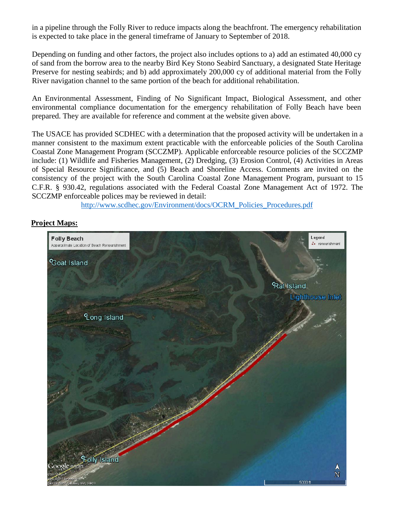in a pipeline through the Folly River to reduce impacts along the beachfront. The emergency rehabilitation is expected to take place in the general timeframe of January to September of 2018.

Depending on funding and other factors, the project also includes options to a) add an estimated 40,000 cy of sand from the borrow area to the nearby Bird Key Stono Seabird Sanctuary, a designated State Heritage Preserve for nesting seabirds; and b) add approximately 200,000 cy of additional material from the Folly River navigation channel to the same portion of the beach for additional rehabilitation.

An Environmental Assessment, Finding of No Significant Impact, Biological Assessment, and other environmental compliance documentation for the emergency rehabilitation of Folly Beach have been prepared. They are available for reference and comment at the website given above.

The USACE has provided SCDHEC with a determination that the proposed activity will be undertaken in a manner consistent to the maximum extent practicable with the enforceable policies of the South Carolina Coastal Zone Management Program (SCCZMP). Applicable enforceable resource policies of the SCCZMP include: (1) Wildlife and Fisheries Management, (2) Dredging, (3) Erosion Control, (4) Activities in Areas of Special Resource Significance, and (5) Beach and Shoreline Access. Comments are invited on the consistency of the project with the South Carolina Coastal Zone Management Program, pursuant to 15 C.F.R. § 930.42, regulations associated with the Federal Coastal Zone Management Act of 1972. The SCCZMP enforceable polices may be reviewed in detail:

[http://www.scdhec.gov/Environment/docs/OCRM\\_Policies\\_Procedures.pdf](http://www.scdhec.gov/Environment/docs/OCRM_Policies_Procedures.pdf)

#### **Project Maps:**